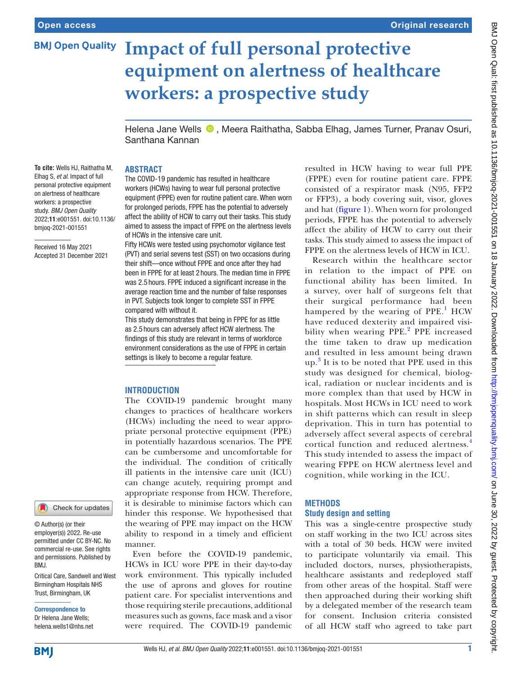# **BMJ Open Quality Impact of full personal protective equipment on alertness of healthcare workers: a prospective study**

Helena Jane Wells  $\bullet$ , Meera Raithatha, Sabba Elhag, James Turner, Pranav Osuri, Santhana Kannan

## **ABSTRACT**

**To cite:** Wells HJ, Raithatha M, Elhag S, *et al*. Impact of full personal protective equipment on alertness of healthcare workers: a prospective study. *BMJ Open Quality* 2022;11:e001551. doi:10.1136/ bmjoq-2021-001551

Received 16 May 2021 Accepted 31 December 2021

Check for updates

© Author(s) (or their employer(s)) 2022. Re-use permitted under CC BY-NC. No commercial re-use. See rights and permissions. Published by BMJ.

Critical Care, Sandwell and West Birmingham Hospitals NHS Trust, Birmingham, UK

Correspondence to Dr Helena Jane Wells; helena.wells1@nhs.net

The COVID-19 pandemic has resulted in healthcare workers (HCWs) having to wear full personal protective equipment (FPPE) even for routine patient care. When worn for prolonged periods, FPPE has the potential to adversely affect the ability of HCW to carry out their tasks. This study aimed to assess the impact of FPPE on the alertness levels of HCWs in the intensive care unit.

Fifty HCWs were tested using psychomotor vigilance test (PVT) and serial sevens test (SST) on two occasions during their shift—once without FPPE and once after they had been in FPPE for at least 2 hours. The median time in FPPE was 2.5 hours. FPPE induced a significant increase in the average reaction time and the number of false responses in PVT. Subjects took longer to complete SST in FPPE compared with without it.

This study demonstrates that being in FPPE for as little as 2.5 hours can adversely affect HCW alertness. The findings of this study are relevant in terms of workforce environment considerations as the use of FPPE in certain settings is likely to become a regular feature.

# **INTRODUCTION**

The COVID-19 pandemic brought many changes to practices of healthcare workers (HCWs) including the need to wear appropriate personal protective equipment (PPE) in potentially hazardous scenarios. The PPE can be cumbersome and uncomfortable for the individual. The condition of critically ill patients in the intensive care unit (ICU) can change acutely, requiring prompt and appropriate response from HCW. Therefore, it is desirable to minimise factors which can hinder this response. We hypothesised that the wearing of PPE may impact on the HCW ability to respond in a timely and efficient manner.

Even before the COVID-19 pandemic, HCWs in ICU wore PPE in their day-to-day work environment. This typically included the use of aprons and gloves for routine patient care. For specialist interventions and those requiring sterile precautions, additional measures such as gowns, face mask and a visor were required. The COVID-19 pandemic

resulted in HCW having to wear full PPE (FPPE) even for routine patient care. FPPE consisted of a respirator mask (N95, FFP2 or FFP3), a body covering suit, visor, gloves and hat [\(figure](#page-1-0) 1). When worn for prolonged periods, FPPE has the potential to adversely affect the ability of HCW to carry out their tasks. This study aimed to assess the impact of FPPE on the alertness levels of HCW in ICU.

Research within the healthcare sector in relation to the impact of PPE on functional ability has been limited. In a survey, over half of surgeons felt that their surgical performance had been hampered by the wearing of PPE.<sup>[1](#page-3-0)</sup> HCW have reduced dexterity and impaired visi-bility when wearing PPE.<sup>[2](#page-3-1)</sup> PPE increased the time taken to draw up medication and resulted in less amount being drawn up. [3](#page-3-2) It is to be noted that PPE used in this study was designed for chemical, biological, radiation or nuclear incidents and is more complex than that used by HCW in hospitals. Most HCWs in ICU need to work in shift patterns which can result in sleep deprivation. This in turn has potential to adversely affect several aspects of cerebral cortical function and reduced alertness.[4](#page-4-0) This study intended to assess the impact of wearing FPPE on HCW alertness level and cognition, while working in the ICU.

### **METHODS**

### **Study design and setting**

This was a single-centre prospective study on staff working in the two ICU across sites with a total of 30 beds. HCW were invited to participate voluntarily via email. This included doctors, nurses, physiotherapists, healthcare assistants and redeployed staff from other areas of the hospital. Staff were then approached during their working shift by a delegated member of the research team for consent. Inclusion criteria consisted of all HCW staff who agreed to take part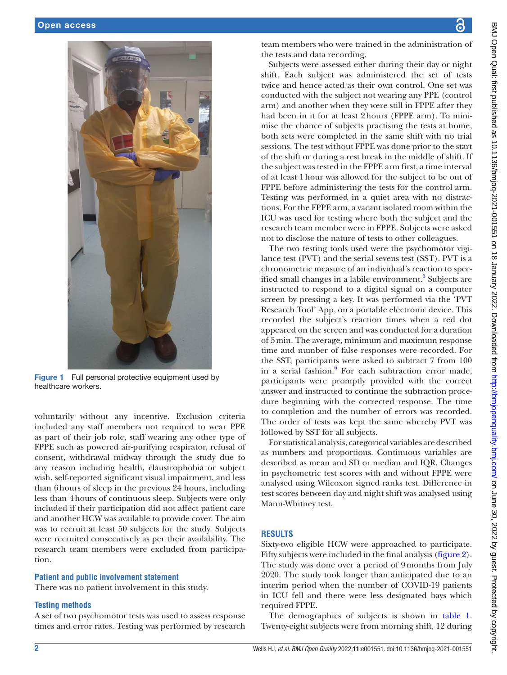

Figure 1 Full personal protective equipment used by healthcare workers.

<span id="page-1-0"></span>voluntarily without any incentive. Exclusion criteria included any staff members not required to wear PPE as part of their job role, staff wearing any other type of FPPE such as powered air-purifying respirator, refusal of consent, withdrawal midway through the study due to any reason including health, claustrophobia or subject wish, self-reported significant visual impairment, and less than 6hours of sleep in the previous 24 hours, including less than 4hours of continuous sleep. Subjects were only included if their participation did not affect patient care and another HCW was available to provide cover. The aim was to recruit at least 50 subjects for the study. Subjects were recruited consecutively as per their availability. The research team members were excluded from participation.

### **Patient and public involvement statement**

There was no patient involvement in this study.

## **Testing methods**

A set of two psychomotor tests was used to assess response times and error rates. Testing was performed by research

BMJ Open Qual: first published as 10.1136/bmjoq-2021-001551 on 18 January 2022. Downloaded from http://bmj.com/ on June 30, 2022 by guest. Protected by copyright. BMJ Open Qual: first published as 10.1136/bmjoq-2021-001551 on 18 January 2022. Downloaded from mttp://bmj.com/ on June 30, 2022. Dy guest. Protected by copyright.

team members who were trained in the administration of the tests and data recording.

Subjects were assessed either during their day or night shift. Each subject was administered the set of tests twice and hence acted as their own control. One set was conducted with the subject not wearing any PPE (control arm) and another when they were still in FPPE after they had been in it for at least 2hours (FPPE arm). To minimise the chance of subjects practising the tests at home, both sets were completed in the same shift with no trial sessions. The test without FPPE was done prior to the start of the shift or during a rest break in the middle of shift. If the subject was tested in the FPPE arm first, a time interval of at least 1hour was allowed for the subject to be out of FPPE before administering the tests for the control arm. Testing was performed in a quiet area with no distractions. For the FPPE arm, a vacant isolated room within the ICU was used for testing where both the subject and the research team member were in FPPE. Subjects were asked not to disclose the nature of tests to other colleagues.

The two testing tools used were the psychomotor vigilance test (PVT) and the serial sevens test (SST). PVT is a chronometric measure of an individual's reaction to spec-ified small changes in a labile environment.<sup>[5](#page-4-1)</sup> Subjects are instructed to respond to a digital signal on a computer screen by pressing a key. It was performed via the 'PVT Research Tool' App, on a portable electronic device. This recorded the subject's reaction times when a red dot appeared on the screen and was conducted for a duration of 5min. The average, minimum and maximum response time and number of false responses were recorded. For the SST, participants were asked to subtract 7 from 100 in a serial fashion.<sup>[6](#page-4-2)</sup> For each subtraction error made, participants were promptly provided with the correct answer and instructed to continue the subtraction procedure beginning with the corrected response. The time to completion and the number of errors was recorded. The order of tests was kept the same whereby PVT was followed by SST for all subjects.

For statistical analysis, categorical variables are described as numbers and proportions. Continuous variables are described as mean and SD or median and IQR. Changes in psychometric test scores with and without FPPE were analysed using Wilcoxon signed ranks test. Difference in test scores between day and night shift was analysed using Mann-Whitney test.

# **RESULTS**

Sixty-two eligible HCW were approached to participate. Fifty subjects were included in the final analysis ([figure](#page-2-0) 2). The study was done over a period of 9months from July 2020. The study took longer than anticipated due to an interim period when the number of COVID-19 patients in ICU fell and there were less designated bays which required FPPE.

The demographics of subjects is shown in [table](#page-2-1) 1. Twenty-eight subjects were from morning shift, 12 during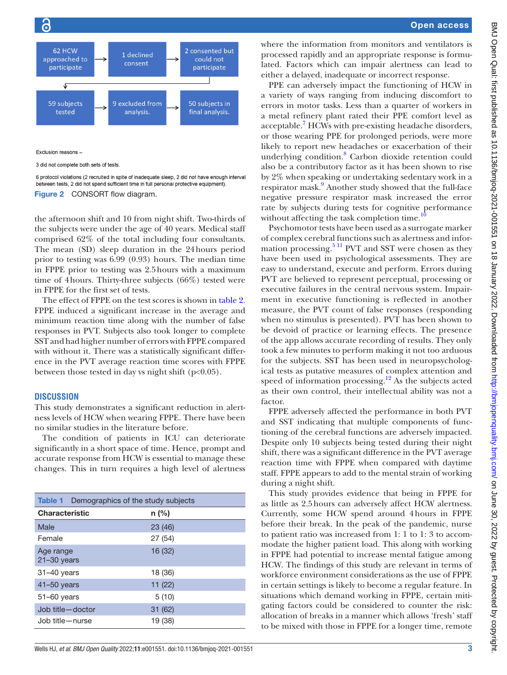

Exclusion reasons -

3 did not complete both sets of tests

<span id="page-2-0"></span>6 protocol violations (2 recruited in spite of inadequate sleep, 2 did not have enough interval between tests, 2 did not spend sufficient time in full personal protective equipment). Figure 2 CONSORT flow diagram.

the afternoon shift and 10 from night shift. Two-thirds of the subjects were under the age of 40 years. Medical staff comprised 62% of the total including four consultants. The mean (SD) sleep duration in the 24hours period prior to testing was 6.99 (0.93) hours. The median time in FPPE prior to testing was 2.5hours with a maximum time of 4hours. Thirty-three subjects (66%) tested were in FPPE for the first set of tests.

The effect of FPPE on the test scores is shown in [table](#page-3-3) 2. FPPE induced a significant increase in the average and minimum reaction time along with the number of false responses in PVT. Subjects also took longer to complete SST and had higher number of errors with FPPE compared with without it. There was a statistically significant difference in the PVT average reaction time scores with FPPE between those tested in day vs night shift  $(p<0.05)$ .

### **DISCUSSION**

This study demonstrates a significant reduction in alertness levels of HCW when wearing FPPE. There have been no similar studies in the literature before.

The condition of patients in ICU can deteriorate significantly in a short space of time. Hence, prompt and accurate response from HCW is essential to manage these changes. This in turn requires a high level of alertness

<span id="page-2-1"></span>

| <b>Table 1</b> Demographics of the study subjects |         |  |  |  |  |
|---------------------------------------------------|---------|--|--|--|--|
| <b>Characteristic</b>                             | $n$ (%) |  |  |  |  |
| Male                                              | 23(46)  |  |  |  |  |
| Female                                            | 27(54)  |  |  |  |  |
| Age range<br>$21 - 30$ years                      | 16 (32) |  |  |  |  |
| $31 - 40$ years                                   | 18 (36) |  |  |  |  |
| $41 - 50$ years                                   | 11(22)  |  |  |  |  |
| $51 - 60$ years                                   | 5(10)   |  |  |  |  |
| Job title-doctor                                  | 31 (62) |  |  |  |  |
| Job title-nurse                                   | 19 (38) |  |  |  |  |

where the information from monitors and ventilators is processed rapidly and an appropriate response is formulated. Factors which can impair alertness can lead to either a delayed, inadequate or incorrect response.

PPE can adversely impact the functioning of HCW in a variety of ways ranging from inducing discomfort to errors in motor tasks. Less than a quarter of workers in a metal refinery plant rated their PPE comfort level as acceptable.<sup>[7](#page-4-3)</sup> HCWs with pre-existing headache disorders, or those wearing PPE for prolonged periods, were more likely to report new headaches or exacerbation of their underlying condition.<sup>[8](#page-4-4)</sup> Carbon dioxide retention could also be a contributory factor as it has been shown to rise by 2% when speaking or undertaking sedentary work in a respirator mask.<sup>9</sup> Another study showed that the full-face negative pressure respirator mask increased the error rate by subjects during tests for cognitive performance without affecting the task completion time.<sup>1</sup>

Psychomotor tests have been used as a surrogate marker of complex cerebral functions such as alertness and information processing.<sup>5 11</sup> PVT and SST were chosen as they have been used in psychological assessments. They are easy to understand, execute and perform. Errors during PVT are believed to represent perceptual, processing or executive failures in the central nervous system. Impairment in executive functioning is reflected in another measure, the PVT count of false responses (responding when no stimulus is presented). PVT has been shown to be devoid of practice or learning effects. The presence of the app allows accurate recording of results. They only took a few minutes to perform making it not too arduous for the subjects. SST has been used in neuropsychological tests as putative measures of complex attention and speed of information processing.<sup>12</sup> As the subjects acted as their own control, their intellectual ability was not a factor.

FPPE adversely affected the performance in both PVT and SST indicating that multiple components of functioning of the cerebral functions are adversely impacted. Despite only 10 subjects being tested during their night shift, there was a significant difference in the PVT average reaction time with FPPE when compared with daytime staff. FPPE appears to add to the mental strain of working during a night shift.

This study provides evidence that being in FPPE for as little as 2.5hours can adversely affect HCW alertness. Currently, some HCW spend around 4hours in FPPE before their break. In the peak of the pandemic, nurse to patient ratio was increased from 1: 1 to 1: 3 to accommodate the higher patient load. This along with working in FPPE had potential to increase mental fatigue among HCW. The findings of this study are relevant in terms of workforce environment considerations as the use of FPPE in certain settings is likely to become a regular feature. In situations which demand working in FPPE, certain mitigating factors could be considered to counter the risk: allocation of breaks in a manner which allows 'fresh' staff to be mixed with those in FPPE for a longer time, remote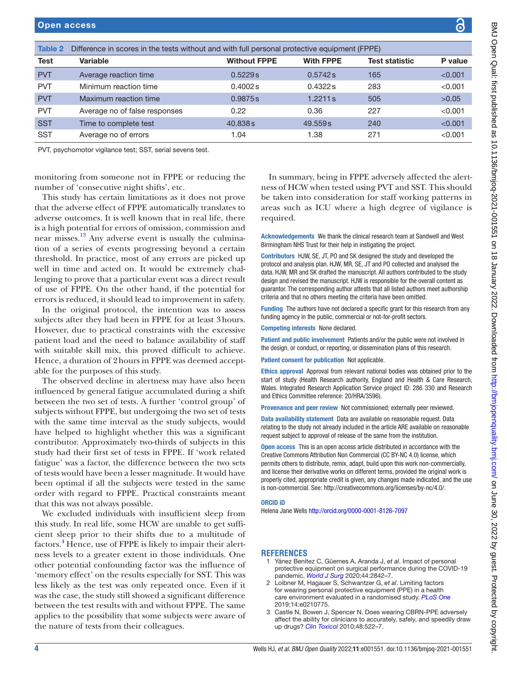<span id="page-3-3"></span>

| <b>Table 2</b> | Difference in scores in the tests without and with full personal protective equipment (FPPE) |                     |                  |                       |         |  |
|----------------|----------------------------------------------------------------------------------------------|---------------------|------------------|-----------------------|---------|--|
| <b>Test</b>    | <b>Variable</b>                                                                              | <b>Without FPPE</b> | <b>With FPPE</b> | <b>Test statistic</b> | P value |  |
| <b>PVT</b>     | Average reaction time                                                                        | 0.5229s             | 0.5742 s         | 165                   | < 0.001 |  |
| <b>PVT</b>     | Minimum reaction time                                                                        | 0.4002 s            | 0.4322 s         | 283                   | < 0.001 |  |
| <b>PVT</b>     | Maximum reaction time                                                                        | 0.9875s             | 1.2211 s         | 505                   | >0.05   |  |
| <b>PVT</b>     | Average no of false responses                                                                | 0.22                | 0.36             | 227                   | < 0.001 |  |
| <b>SST</b>     | Time to complete test                                                                        | 40.838s             | 49,559s          | 240                   | < 0.001 |  |
| <b>SST</b>     | Average no of errors                                                                         | 1.04                | 1.38             | 271                   | < 0.001 |  |

PVT, psychomotor vigilance test; SST, serial sevens test.

monitoring from someone not in FPPE or reducing the number of 'consecutive night shifts', etc.

This study has certain limitations as it does not prove that the adverse effect of FPPE automatically translates to adverse outcomes. It is well known that in real life, there is a high potential for errors of omission, commission and near misses.<sup>13</sup> Any adverse event is usually the culmination of a series of events progressing beyond a certain threshold. In practice, most of any errors are picked up well in time and acted on. It would be extremely challenging to prove that a particular event was a direct result of use of FPPE. On the other hand, if the potential for errors is reduced, it should lead to improvement in safety.

In the original protocol, the intention was to assess subjects after they had been in FPPE for at least 3hours. However, due to practical constraints with the excessive patient load and the need to balance availability of staff with suitable skill mix, this proved difficult to achieve. Hence, a duration of 2hours in FPPE was deemed acceptable for the purposes of this study.

The observed decline in alertness may have also been influenced by general fatigue accumulated during a shift between the two set of tests. A further 'control group' of subjects without FPPE, but undergoing the two set of tests with the same time interval as the study subjects, would have helped to highlight whether this was a significant contributor. Approximately two-thirds of subjects in this study had their first set of tests in FPPE. If 'work related fatigue' was a factor, the difference between the two sets of tests would have been a lesser magnitude. It would have been optimal if all the subjects were tested in the same order with regard to FPPE. Practical constraints meant that this was not always possible.

We excluded individuals with insufficient sleep from this study. In real life, some HCW are unable to get sufficient sleep prior to their shifts due to a multitude of factors.<sup>[4](#page-4-0)</sup> Hence, use of FPPE is likely to impair their alertness levels to a greater extent in those individuals. One other potential confounding factor was the influence of 'memory effect' on the results especially for SST. This was less likely as the test was only repeated once. Even if it was the case, the study still showed a significant difference between the test results with and without FPPE. The same applies to the possibility that some subjects were aware of the nature of tests from their colleagues.

In summary, being in FPPE adversely affected the alertness of HCW when tested using PVT and SST. This should be taken into consideration for staff working patterns in areas such as ICU where a high degree of vigilance is required.

Acknowledgements We thank the clinical research team at Sandwell and West Birmingham NHS Trust for their help in instigating the project.

Contributors HJW, SE, JT, PO and SK designed the study and developed the protocol and analysis plan. HJW, MR, SE, JT and PO collected and analysed the data. HJW, MR and SK drafted the manuscript. All authors contributed to the study design and revised the manuscript. HJW is responsible for the overall content as guarantor. The corresponding author attests that all listed authors meet authorship criteria and that no others meeting the criteria have been omitted.

**Funding** The authors have not declared a specific grant for this research from any funding agency in the public, commercial or not-for-profit sectors.

Competing interests None declared.

Patient and public involvement Patients and/or the public were not involved in the design, or conduct, or reporting, or dissemination plans of this research.

Patient consent for publication Not applicable.

Ethics approval Approval from relevant national bodies was obtained prior to the start of study (Health Research authority, England and Health & Care Research, Wales. Integrated Research Application Service project ID: 286 330 and Research and Ethics Committee reference: 20/HRA/3596).

Provenance and peer review Not commissioned; externally peer reviewed.

Data availability statement Data are available on reasonable request. Data relating to the study not already included in the article ARE available on reasonable request subject to approval of release of the same from the institution.

**Open access** This is an open access article distributed in accordance with the Creative Commons Attribution Non Commercial (CC BY-NC 4.0) license, which permits others to distribute, remix, adapt, build upon this work non-commercially, and license their derivative works on different terms, provided the original work is properly cited, appropriate credit is given, any changes made indicated, and the use is non-commercial. See: [http://creativecommons.org/licenses/by-nc/4.0/.](http://creativecommons.org/licenses/by-nc/4.0/)

#### ORCID iD

Helena Jane Wells <http://orcid.org/0000-0001-8126-7097>

#### **REFERENCES**

- <span id="page-3-0"></span>1 Yánez Benítez C, Güemes A, Aranda J, *et al*. Impact of personal protective equipment on surgical performance during the COVID-19 pandemic. *[World J Surg](http://dx.doi.org/10.1007/s00268-020-05648-2)* 2020;44:2842–7.
- <span id="page-3-1"></span>2 Loibner M, Hagauer S, Schwantzer G, *et al*. Limiting factors for wearing personal protective equipment (PPE) in a health care environment evaluated in a randomised study. *[PLoS One](http://dx.doi.org/10.1371/journal.pone.0210775)* 2019;14:e0210775.
- <span id="page-3-2"></span>3 Castle N, Bowen J, Spencer N. Does wearing CBRN-PPE adversely affect the ability for clinicians to accurately, safely, and speedily draw up drugs? *[Clin Toxicol](http://dx.doi.org/10.3109/15563650.2010.491483)* 2010;48:522–7.